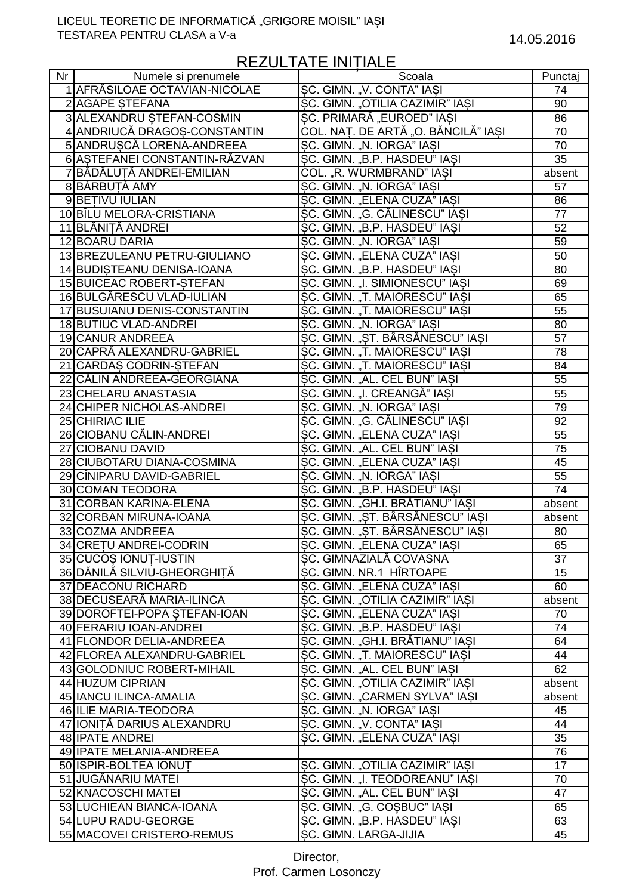| Nr <sub>1</sub> | Numele si prenumele           | Scoala                                 | Punctaj         |
|-----------------|-------------------------------|----------------------------------------|-----------------|
|                 | 1 AFRĂSILOAE OCTAVIAN-NICOLAE | SC. GIMN. "V. CONTA" IASI              | 74              |
|                 | 2 AGAPE STEFANA               | <b>SC. GIMN. "OTILIA CAZIMIR" IASI</b> | 90              |
|                 | 3 ALEXANDRU STEFAN-COSMIN     | ȘC. PRIMARĂ "EUROED" IAȘI              | 86              |
|                 | 4 ANDRIUCĂ DRAGOS-CONSTANTIN  | COL. NAȚ. DE ARTĂ "O. BĂNCILĂ" IASI    | 70              |
|                 | 5 ANDRUSCĂ LORENA-ANDREEA     | SC. GIMN. "N. IORGA" IAȘI              | 70              |
|                 | 6 AȘTEFANEI CONSTANTIN-RĂZVAN | SC. GIMN. "B.P. HASDEU" IASI           | 35              |
|                 | 7 BĂDĂLUȚĂ ANDREI-EMILIAN     | COL. "R. WURMBRAND" IAȘI               | absent          |
|                 | 8 BĂRBUȚĂ AMY                 | SC. GIMN. "N. IORGA" IASI              | 57              |
|                 | 9 BETIVU IULIAN               | SC. GIMN. "ELENA CUZA" IASI            | 86              |
|                 | 10 BÎLU MELORA-CRISTIANA      | SC. GIMN. "G. CĂLINESCU" IASI          | 77              |
|                 | 11 BLĂNIȚĂ ANDREI             |                                        |                 |
|                 |                               | SC. GIMN. "B.P. HASDEU" IASI           | 52              |
|                 | 12 BOARU DARIA                | <b>SC. GIMN. "N. IORGA" IASI</b>       | 59              |
|                 | 13 BREZULEANU PETRU-GIULIANO  | SC. GIMN. "ELENA CUZA" IASI            | 50              |
|                 | 14 BUDISTEANU DENISA-IOANA    | SC. GIMN. "B.P. HASDEU" IASI           | 80              |
|                 | 15 BUICEAC ROBERT-STEFAN      | <b>SC. GIMN. "I. SIMIONESCU" IASI</b>  | 69              |
|                 | 16 BULGĂRESCU VLAD-IULIAN     | SC. GIMN. "T. MAIORESCU" IASI          | 65              |
|                 | 17 BUSUIANU DENIS-CONSTANTIN  | SC. GIMN. "T. MAIORESCU" IASI          | 55              |
|                 | 18 BUTIUC VLAD-ANDREI         | SC. GIMN. "N. IORGA" IASI              | 80              |
|                 | 19 CANUR ANDREEA              | ȘC. GIMN. "ȘT. BÂRSĂNESCU" IAȘI        | 57              |
|                 | 20 CAPRĂ ALEXANDRU-GABRIEL    | <b>SC. GIMN. "T. MAIORESCU" IASI</b>   | 78              |
|                 | 21 CARDAS CODRIN-STEFAN       | SC. GIMN. "T. MAIORESCU" IASI          | 84              |
|                 | 22 CĂLIN ANDREEA-GEORGIANA    | SC. GIMN. "AL. CEL BUN" IASI           | 55              |
|                 | 23 CHELARU ANASTASIA          | SC. GIMN. "I. CREANGĂ" IASI            | 55              |
|                 | 24 CHIPER NICHOLAS-ANDREI     | SC. GIMN. "N. IORGA" IASI              | 79              |
|                 | 25 CHIRIAC ILIE               | SC. GIMN. "G. CĂLINESCU" IASI          | 92              |
|                 | 26 CIOBANU CĂLIN-ANDREI       | SC. GIMN. "ELENA CUZA" IAȘI            | 55              |
|                 | 27 CIOBANU DAVID              | <b>SC. GIMN. "AL. CEL BUN" IASI</b>    | 75              |
|                 | 28 CIUBOTARU DIANA-COSMINA    | SC. GIMN. "ELENA CUZA" IASI            | 45              |
|                 |                               |                                        | $\overline{55}$ |
|                 | 29 CÎNIPARU DAVID-GABRIEL     | SC. GIMN. "N. IORGA" IASI              |                 |
|                 | <b>30 COMAN TEODORA</b>       | SC. GIMN. "B.P. HASDEU" IASI           | 74              |
|                 | 31 CORBAN KARINA-ELENA        | ȘC. GIMN. "GH.I. BRĂTIANU" IAȘI        | absent          |
|                 | 32 CORBAN MIRUNA-IOANA        | SC. GIMN. "ST. BÂRSĂNESCU" IAȘI        | absent          |
|                 | 33 COZMA ANDREEA              | ȘC. GIMN. "ȘT. BÂRSĂNESCU" IAȘI        | 80              |
|                 | 34 CRETU ANDREI-CODRIN        | SC. GIMN. "ELENA CUZA" IASI            | 65              |
|                 | 35 CUCOS IONUT-IUSTIN         | SC. GIMNAZIALĂ COVASNA                 | 37              |
|                 | 36 DĂNILĂ SILVIU-GHEORGHIȚĂ   | SC. GIMN. NR.1 HÎRTOAPE                | 15              |
|                 | 37 DEACONU RICHARD            | SC. GIMN. "ELENA CUZA" IASI            | 60              |
|                 | 38 DECUSEARĂ MARIA-ILINCA     | ŞC. GIMN. "OTILIA CAZIMIR" IAŞI        | absent          |
|                 | 39 DOROFTEI-POPA STEFAN-IOAN  | SC. GIMN. "ELENA CUZA" IAȘI            | 70              |
|                 | 40 FERARIU IOAN-ANDREI        | SC. GIMN. "B.P. HASDEU" IASI           | 74              |
|                 | 41 FLONDOR DELIA-ANDREEA      | ȘC. GIMN. "GH.I. BRĂTIANU" IAȘI        | 64              |
|                 | 42 FLOREA ALEXANDRU-GABRIEL   | SC. GIMN. "T. MAIORESCU" IASI          | 44              |
|                 | 43 GOLODNIUC ROBERT-MIHAIL    | SC. GIMN. "AL. CEL BUN" IASI           | 62              |
|                 | 44 HUZUM CIPRIAN              | SC. GIMN. "OTILIA CAZIMIR" IASI        | absent          |
|                 | 45   IANCU ILINCA-AMALIA      | SC. GIMN. "CARMEN SYLVA" IASI          | absent          |
|                 | 46 ILIE MARIA-TEODORA         | SC. GIMN. "N. IORGA" IASI              | 45              |
|                 |                               |                                        |                 |
|                 | 47 IONIȚĂ DARIUS ALEXANDRU    | SC. GIMN. "V. CONTA" IASI              | 44              |
|                 | 48 IPATE ANDREI               | SC. GIMN. "ELENA CUZA" IASI            | 35              |
|                 | 49 IPATE MELANIA-ANDREEA      |                                        | 76              |
|                 | 50 ISPIR-BOLTEA IONUT         | SC. GIMN. "OTILIA CAZIMIR" IASI        | 17              |
|                 | 51 JUGĂNARIU MATEI            | SC. GIMN. "I. TEODOREANU" IASI         | 70              |
|                 | 52 KNACOSCHI MATEI            | SC. GIMN. "AL. CEL BUN" IASI           | 47              |
|                 | 53 LUCHIEAN BIANCA-IOANA      | SC. GIMN. "G. COSBUC" IASI             | 65              |
|                 | 54 LUPU RADU-GEORGE           | SC. GIMN. "B.P. HASDEU" IASI           | 63              |
|                 | 55 MACOVEI CRISTERO-REMUS     | <b>SC. GIMN. LARGA-JIJIA</b>           | 45              |

## REZULTATE INIȚIALE